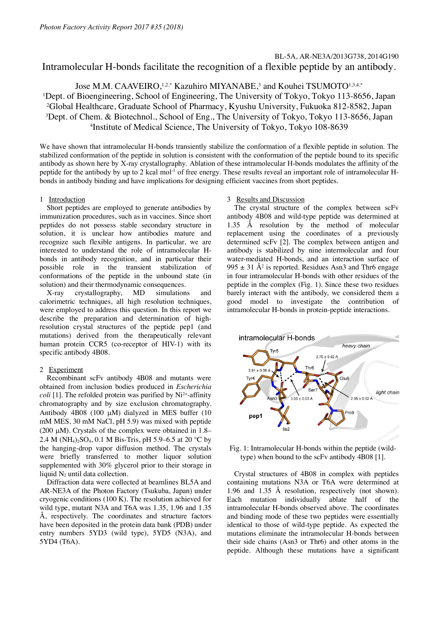# Intramolecular H-bonds facilitate the recognition of a flexible peptide by an antibody.

Jose M.M. CAAVEIRO, 1,2,\* Kazuhiro MIYANABE,<sup>3</sup> and Kouhei TSUMOTO<sup>1,3,4,\*</sup> 1 Dept. of Bioengineering, School of Engineering, The University of Tokyo, Tokyo 113-8656, Japan 2Global Healthcare, Graduate School of Pharmacy, Kyushu University, Fukuoka 812-8582, Japan 3 Dept. of Chem. & Biotechnol., School of Eng., The University of Tokyo, Tokyo 113-8656, Japan 4Institute of Medical Science, The University of Tokyo, Tokyo 108-8639

We have shown that intramolecular H-bonds transiently stabilize the conformation of a flexible peptide in solution. The stabilized conformation of the peptide in solution is consistent with the conformation of the peptide bound to its specific antibody as shown here by X-ray crystallography. Ablation of these intramolecular H-bonds modulates the affinity of the peptide for the antibody by up to 2 kcal mol<sup>-1</sup> of free energy. These results reveal an important role of intramolecular Hbonds in antibody binding and have implications for designing efficient vaccines from short peptides.

# 1 Introduction

Short peptides are employed to generate antibodies by immunization procedures, such as in vaccines. Since short peptides do not possess stable secondary structure in solution, it is unclear how antibodies mature and recognize such flexible antigens. In particular, we are interested to understand the role of intramolecular Hbonds in antibody recognition, and in particular their possible role in the transient stabilization of conformations of the peptide in the unbound state (in solution) and their thermodynamic consequences.

X-ray crystallography, MD simulations and calorimetric techniques, all high resolution techniques, were employed to address this question. In this report we describe the preparation and determination of highresolution crystal structures of the peptide pep1 (and mutations) derived from the therapeutically relevant human protein CCR5 (co-receptor of HIV-1) with its specific antibody 4B08.

### 2 Experiment

Recombinant scFv antibody 4B08 and mutants were obtained from inclusion bodies produced in *Escherichia coli* [1]. The refolded protein was purified by  $Ni<sup>2+</sup>$ -affinity chromatography and by size exclusion chromatography. Antibody 4B08 (100 µM) dialyzed in MES buffer (10 mM MES, 30 mM NaCl, pH 5.9) was mixed with peptide (200  $\mu$ M). Crystals of the complex were obtained in 1.8– 2.4 M (NH<sub>4</sub>)<sub>2</sub>SO<sub>4</sub>, 0.1 M Bis-Tris, pH 5.9–6.5 at 20 °C by the hanging-drop vapor diffusion method. The crystals were briefly transferred to mother liquor solution supplemented with 30% glycerol prior to their storage in liquid  $N<sub>2</sub>$  until data collection.

Diffraction data were collected at beamlines BL5A and AR-NE3A of the Photon Factory (Tsukuba, Japan) under cryogenic conditions (100 K). The resolution achieved for wild type, mutant N3A and T6A was 1.35, 1.96 and 1.35 Å, respectively. The coordinates and structure factors have been deposited in the protein data bank (PDB) under entry numbers 5YD3 (wild type), 5YD5 (N3A), and 5YD4 (T6A).

# 3 Results and Discussion

The crystal structure of the complex between scFv antibody 4B08 and wild-type peptide was determined at 1.35 Å resolution by the method of molecular replacement using the coordinates of a previously determined scFv [2]. The complex between antigen and antibody is stabilized by nine intermolecular and four water-mediated H-bonds, and an interaction surface of 995  $\pm$  31 Å<sup>2</sup> is reported. Residues Asn<sub>3</sub> and Thr6 engage in four intramolecular H-bonds with other residues of the peptide in the complex (Fig. 1). Since these two residues barely interact with the antibody, we considered them a good model to investigate the contribution of intramolecular H-bonds in protein-peptide interactions.



Fig. 1: Intramolecular H-bonds within the peptide (wildtype) when bound to the scFv antibody 4B08 [1].

Crystal structures of 4B08 in complex with peptides containing mutations N3A or T6A were determined at 1.96 and 1.35 Å resolution, respectively (not shown). Each mutation individually ablate half of the intramolecular H-bonds observed above. The coordinates and binding mode of these two peptides were essentially identical to those of wild-type peptide. As expected the mutations eliminate the intramolecular H-bonds between their side chains (Asn3 or Thr6) and other atoms in the peptide. Although these mutations have a significant